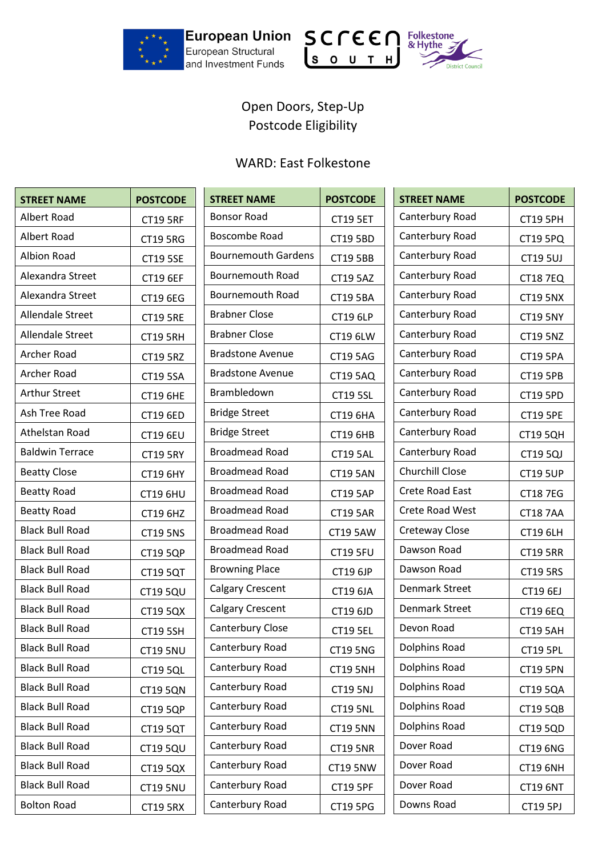

and Investment Funds





## Open Doors, Step-Up Postcode Eligibility

## WARD: East Folkestone

| <b>STREET NAME</b>     | <b>POSTCODE</b> | <b>STREET NAME</b>         | <b>POSTCODE</b> | <b>STREET NAME</b>    | <b>POSTCODE</b> |
|------------------------|-----------------|----------------------------|-----------------|-----------------------|-----------------|
| Albert Road            | <b>CT19 5RF</b> | <b>Bonsor Road</b>         | <b>CT19 5ET</b> | Canterbury Road       | <b>CT19 5PH</b> |
| Albert Road            | <b>CT19 5RG</b> | Boscombe Road              | <b>CT19 5BD</b> | Canterbury Road       | <b>CT19 5PQ</b> |
| <b>Albion Road</b>     | <b>CT19 5SE</b> | <b>Bournemouth Gardens</b> | <b>CT19 5BB</b> | Canterbury Road       | <b>CT19 5UJ</b> |
| Alexandra Street       | <b>CT19 6EF</b> | <b>Bournemouth Road</b>    | <b>CT19 5AZ</b> | Canterbury Road       | <b>CT18 7EQ</b> |
| Alexandra Street       | <b>CT19 6EG</b> | <b>Bournemouth Road</b>    | <b>CT19 5BA</b> | Canterbury Road       | <b>CT19 5NX</b> |
| Allendale Street       | <b>CT19 5RE</b> | <b>Brabner Close</b>       | <b>CT19 6LP</b> | Canterbury Road       | <b>CT19 5NY</b> |
| Allendale Street       | <b>CT19 5RH</b> | <b>Brabner Close</b>       | CT19 6LW        | Canterbury Road       | <b>CT19 5NZ</b> |
| Archer Road            | <b>CT19 5RZ</b> | <b>Bradstone Avenue</b>    | <b>CT19 5AG</b> | Canterbury Road       | <b>CT19 5PA</b> |
| Archer Road            | <b>CT19 5SA</b> | <b>Bradstone Avenue</b>    | <b>CT19 5AQ</b> | Canterbury Road       | <b>CT19 5PB</b> |
| <b>Arthur Street</b>   | <b>CT19 6HE</b> | Brambledown                | <b>CT19 5SL</b> | Canterbury Road       | <b>CT19 5PD</b> |
| Ash Tree Road          | <b>CT19 6ED</b> | <b>Bridge Street</b>       | <b>CT19 6HA</b> | Canterbury Road       | <b>CT19 5PE</b> |
| Athelstan Road         | <b>CT19 6EU</b> | <b>Bridge Street</b>       | <b>CT19 6HB</b> | Canterbury Road       | <b>CT19 5QH</b> |
| <b>Baldwin Terrace</b> | <b>CT19 5RY</b> | <b>Broadmead Road</b>      | <b>CT19 5AL</b> | Canterbury Road       | <b>CT19 5QJ</b> |
| <b>Beatty Close</b>    | <b>CT19 6HY</b> | <b>Broadmead Road</b>      | <b>CT19 5AN</b> | Churchill Close       | <b>CT19 5UP</b> |
| <b>Beatty Road</b>     | <b>CT19 6HU</b> | <b>Broadmead Road</b>      | <b>CT19 5AP</b> | Crete Road East       | <b>CT187EG</b>  |
| <b>Beatty Road</b>     | CT19 6HZ        | <b>Broadmead Road</b>      | <b>CT19 5AR</b> | Crete Road West       | <b>CT18 7AA</b> |
| <b>Black Bull Road</b> | <b>CT19 5NS</b> | <b>Broadmead Road</b>      | <b>CT19 5AW</b> | Creteway Close        | <b>CT19 6LH</b> |
| <b>Black Bull Road</b> | <b>CT19 5QP</b> | <b>Broadmead Road</b>      | <b>CT19 5FU</b> | Dawson Road           | <b>CT19 5RR</b> |
| <b>Black Bull Road</b> | <b>CT19 5QT</b> | <b>Browning Place</b>      | CT19 6JP        | Dawson Road           | <b>CT19 5RS</b> |
| <b>Black Bull Road</b> | <b>CT19 5QU</b> | <b>Calgary Crescent</b>    | CT19 6JA        | <b>Denmark Street</b> | CT19 6EJ        |
| <b>Black Bull Road</b> | CT19 5QX        | <b>Calgary Crescent</b>    | CT19 6JD        | <b>Denmark Street</b> | CT19 6EQ        |
| <b>Black Bull Road</b> | <b>CT19 5SH</b> | Canterbury Close           | <b>CT19 5EL</b> | Devon Road            | <b>CT19 5AH</b> |
| <b>Black Bull Road</b> | <b>CT19 5NU</b> | Canterbury Road            | <b>CT19 5NG</b> | Dolphins Road         | <b>CT19 5PL</b> |
| <b>Black Bull Road</b> | <b>CT19 5QL</b> | Canterbury Road            | <b>CT19 5NH</b> | Dolphins Road         | <b>CT19 5PN</b> |
| <b>Black Bull Road</b> | <b>CT19 5QN</b> | Canterbury Road            | <b>CT19 5NJ</b> | Dolphins Road         | <b>CT19 5QA</b> |
| <b>Black Bull Road</b> | <b>CT19 5QP</b> | Canterbury Road            | <b>CT19 5NL</b> | Dolphins Road         | <b>CT19 5QB</b> |
| <b>Black Bull Road</b> | <b>CT19 5QT</b> | Canterbury Road            | <b>CT19 5NN</b> | Dolphins Road         | <b>CT19 5QD</b> |
| <b>Black Bull Road</b> | <b>CT19 5QU</b> | Canterbury Road            | <b>CT19 5NR</b> | Dover Road            | CT19 6NG        |
| <b>Black Bull Road</b> | CT19 5QX        | Canterbury Road            | <b>CT19 5NW</b> | Dover Road            | <b>CT19 6NH</b> |
| <b>Black Bull Road</b> | <b>CT19 5NU</b> | Canterbury Road            | <b>CT19 5PF</b> | Dover Road            | <b>CT19 6NT</b> |
| <b>Bolton Road</b>     | <b>CT19 5RX</b> | Canterbury Road            | CT19 5PG        | Downs Road            | <b>CT19 5PJ</b> |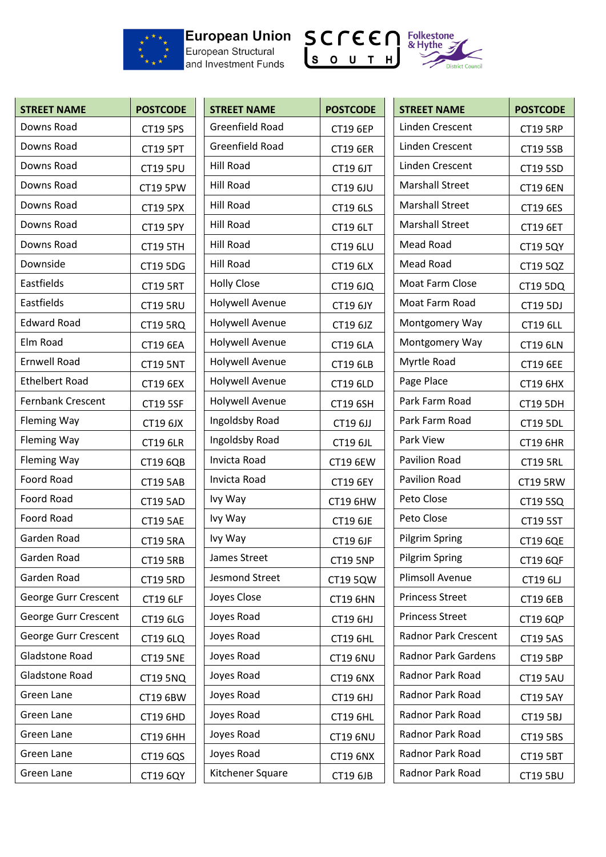

## European Structural<br>and Investment Funds





| <b>STREET NAME</b>       | <b>POSTCODE</b> | <b>STREET NAME</b>     | <b>POSTCODE</b> | <b>STREET NAME</b>          | <b>POSTCODE</b> |
|--------------------------|-----------------|------------------------|-----------------|-----------------------------|-----------------|
| Downs Road               | <b>CT19 5PS</b> | Greenfield Road        | <b>CT19 6EP</b> | Linden Crescent             | <b>CT19 5RP</b> |
| Downs Road               | <b>CT19 5PT</b> | Greenfield Road        | <b>CT19 6ER</b> | Linden Crescent             | <b>CT19 5SB</b> |
| Downs Road               | <b>CT19 5PU</b> | <b>Hill Road</b>       | CT19 6JT        | Linden Crescent             | <b>CT19 5SD</b> |
| Downs Road               | CT19 5PW        | Hill Road              | <b>CT19 6JU</b> | <b>Marshall Street</b>      | <b>CT19 6EN</b> |
| Downs Road               | <b>CT19 5PX</b> | <b>Hill Road</b>       | CT19 6LS        | <b>Marshall Street</b>      | CT19 6ES        |
| Downs Road               | <b>CT19 5PY</b> | <b>Hill Road</b>       | <b>CT19 6LT</b> | <b>Marshall Street</b>      | <b>CT19 6ET</b> |
| Downs Road               | <b>CT19 5TH</b> | <b>Hill Road</b>       | <b>CT19 6LU</b> | <b>Mead Road</b>            | <b>CT19 5QY</b> |
| Downside                 | <b>CT19 5DG</b> | <b>Hill Road</b>       | <b>CT19 6LX</b> | Mead Road                   | CT19 5QZ        |
| Eastfields               | <b>CT19 5RT</b> | <b>Holly Close</b>     | CT19 6JQ        | Moat Farm Close             | <b>CT19 5DQ</b> |
| Eastfields               | <b>CT19 5RU</b> | <b>Holywell Avenue</b> | CT19 6JY        | Moat Farm Road              | CT19 5DJ        |
| <b>Edward Road</b>       | <b>CT19 5RQ</b> | Holywell Avenue        | CT19 6JZ        | Montgomery Way              | <b>CT19 6LL</b> |
| Elm Road                 | <b>CT19 6EA</b> | <b>Holywell Avenue</b> | <b>CT19 6LA</b> | Montgomery Way              | <b>CT19 6LN</b> |
| <b>Ernwell Road</b>      | <b>CT19 5NT</b> | <b>Holywell Avenue</b> | <b>CT19 6LB</b> | Myrtle Road                 | <b>CT19 6EE</b> |
| <b>Ethelbert Road</b>    | <b>CT19 6EX</b> | <b>Holywell Avenue</b> | CT19 6LD        | Page Place                  | <b>CT19 6HX</b> |
| <b>Fernbank Crescent</b> | <b>CT19 5SF</b> | <b>Holywell Avenue</b> | <b>CT19 6SH</b> | Park Farm Road              | <b>CT19 5DH</b> |
| Fleming Way              | CT19 6JX        | Ingoldsby Road         | CT19 6JJ        | Park Farm Road              | <b>CT19 5DL</b> |
| Fleming Way              | <b>CT19 6LR</b> | Ingoldsby Road         | CT19 6JL        | Park View                   | <b>CT19 6HR</b> |
| <b>Fleming Way</b>       | <b>CT19 6QB</b> | Invicta Road           | <b>CT19 6EW</b> | Pavilion Road               | <b>CT19 5RL</b> |
| Foord Road               | <b>CT19 5AB</b> | Invicta Road           | <b>CT19 6EY</b> | Pavilion Road               | <b>CT19 5RW</b> |
| Foord Road               | <b>CT19 5AD</b> | Ivy Way                | CT19 6HW        | Peto Close                  | CT19 5SQ        |
| Foord Road               | <b>CT19 5AE</b> | Ivy Way                | <b>CT19 6JE</b> | Peto Close                  | <b>CT19 5ST</b> |
| Garden Road              | <b>CT19 5RA</b> | Ivy Way                | CT19 6JF        | <b>Pilgrim Spring</b>       | <b>CT19 6QE</b> |
| Garden Road              | <b>CT19 5RB</b> | James Street           | <b>CT19 5NP</b> | Pilgrim Spring              | <b>CT19 6QF</b> |
| Garden Road              | <b>CT19 5RD</b> | <b>Jesmond Street</b>  | CT19 5QW        | <b>Plimsoll Avenue</b>      | <b>CT19 6LJ</b> |
| George Gurr Crescent     | CT19 6LF        | Joyes Close            | <b>CT19 6HN</b> | <b>Princess Street</b>      | <b>CT19 6EB</b> |
| George Gurr Crescent     | CT19 6LG        | Joyes Road             | CT19 6HJ        | <b>Princess Street</b>      | <b>CT19 6QP</b> |
| George Gurr Crescent     | <b>CT19 6LQ</b> | Joyes Road             | <b>CT19 6HL</b> | <b>Radnor Park Crescent</b> | <b>CT19 5AS</b> |
| Gladstone Road           | <b>CT19 5NE</b> | Joyes Road             | <b>CT19 6NU</b> | Radnor Park Gardens         | <b>CT19 5BP</b> |
| Gladstone Road           | <b>CT19 5NQ</b> | Joyes Road             | <b>CT19 6NX</b> | Radnor Park Road            | <b>CT19 5AU</b> |
| Green Lane               | CT19 6BW        | Joyes Road             | CT19 6HJ        | Radnor Park Road            | <b>CT19 5AY</b> |
| Green Lane               | <b>CT19 6HD</b> | Joyes Road             | <b>CT19 6HL</b> | Radnor Park Road            | <b>CT19 5BJ</b> |
| Green Lane               | <b>CT19 6HH</b> | Joyes Road             | <b>CT19 6NU</b> | Radnor Park Road            | CT19 5BS        |
| Green Lane               | CT19 6QS        | Joyes Road             | <b>CT19 6NX</b> | Radnor Park Road            | <b>CT19 5BT</b> |
| Green Lane               | CT19 6QY        | Kitchener Square       | CT19 6JB        | Radnor Park Road            | <b>CT19 5BU</b> |